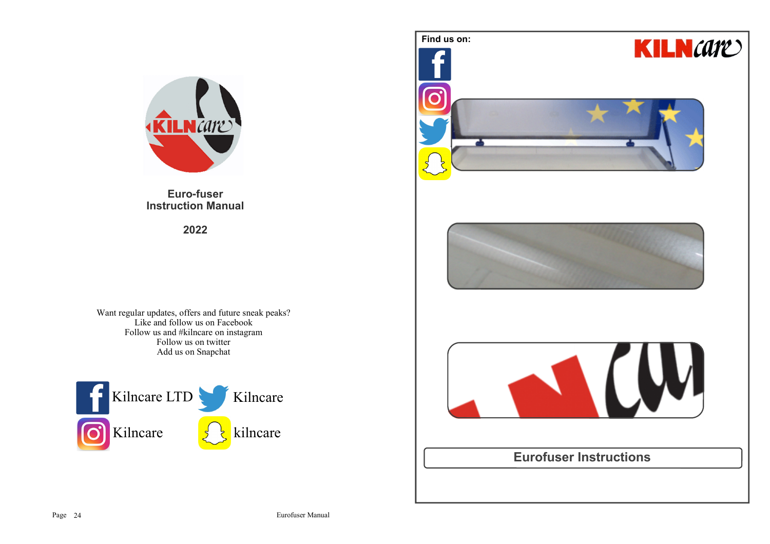

**Euro-fuser Instruction Manual**

**2022**

Want regular updates, offers and future sneak peaks? Like and follow us on Facebook Follow us and #kilncare on instagramFollow us on twitterAdd us on Snapchat



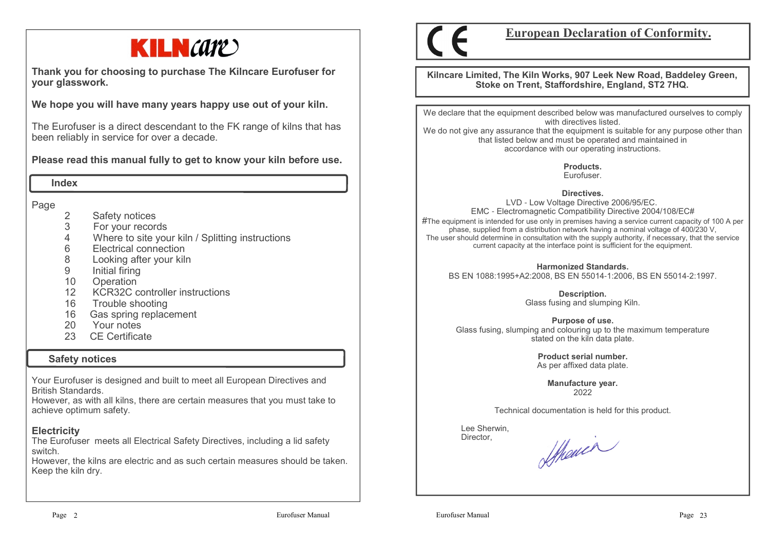

**Thank you for choosing to purchase The Kilncare Eurofuser for your glasswork.**

**We hope you will have many years happy use out of your kiln.** 

The Eurofuser is a direct descendant to the FK range of kilns that has been reliably in service for over a decade.

**Please read this manual fully to get to know your kiln before use.**

 **Index**

Page

- 2 Safety notices<br>3 For your record
- 3 For your records
- 4 Where to site your kiln / Splitting instructions
- 6 Electrical connection
- 8 Looking after your kiln
- 9 Initial firing<br>10 Operation
- 10 Operation
- 12 KCR32C controller instructions
- 16 Trouble shooting
- 16 Gas spring replacement
- 20 Your notes
- 23 CE Certificate

# **Safety notices**

Your Eurofuser is designed and built to meet all European Directives and British Standards.

 However, as with all kilns, there are certain measures that you must take to achieve optimum safety.

# **Electricity**

 The Eurofuser meets all Electrical Safety Directives, including a lid safety switch.

 However, the kilns are electric and as such certain measures should be taken.Keep the kiln dry.



**European Declaration of Conformity.**

**Kilncare Limited, The Kiln Works, 907 Leek New Road, Baddeley Green, Stoke on Trent, Staffordshire, England, ST2 7HQ.**

We declare that the equipment described below was manufactured ourselves to comply with directives listed.

 We do not give any assurance that the equipment is suitable for any purpose other than that listed below and must be operated and maintained in accordance with our operating instructions.

> **Products.**Eurofuser.

**Directives.**

 LVD - Low Voltage Directive 2006/95/EC. EMC - Electromagnetic Compatibility Directive 2004/108/EC# $\#$ The equipment is intended for use only in premises having a service current capacity of 100 A per phase, supplied from a distribution network having a nominal voltage of 400/230 V, The user should determine in consultation with the supply authority, if necessary, that the service current capacity at the interface point is sufficient for the equipment.

**Harmonized Standards.**BS EN 1088:1995+A2:2008, BS EN 55014-1:2006, BS EN 55014-2:1997.

> **Description.** Glass fusing and slumping Kiln.

**Purpose of use.** Glass fusing, slumping and colouring up to the maximum temperature stated on the kiln data plate.

> **Product serial number.**As per affixed data plate.

**Manufacture year.**2022

Technical documentation is held for this product.

 Lee Sherwin,Director,

Sthewin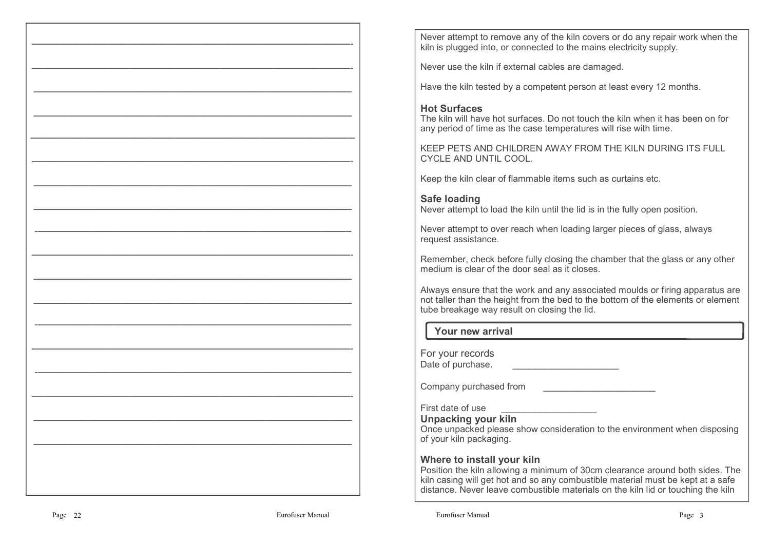Never attempt to remove any of the kiln covers or do any repair work when the kiln is plugged into, or connected to the mains electricity supply.

Never use the kiln if external cables are damaged.

Have the kiln tested by a competent person at least every 12 months.

## **Hot Surfaces**

 The kiln will have hot surfaces. Do not touch the kiln when it has been on for any period of time as the case temperatures will rise with time.

KEEP PETS AND CHILDREN AWAY FROM THE KILN DURING ITS FULL CYCLE AND UNTIL COOL.

Keep the kiln clear of flammable items such as curtains etc.

## **Safe loading**

Never attempt to load the kiln until the lid is in the fully open position.

Never attempt to over reach when loading larger pieces of glass, always request assistance.

Remember, check before fully closing the chamber that the glass or any other medium is clear of the door seal as it closes.

Always ensure that the work and any associated moulds or firing apparatus are not taller than the height from the bed to the bottom of the elements or element tube breakage way result on closing the lid.

# **Your new arrival**

For your recordsDate of purchase. \_\_\_\_\_\_\_\_\_\_\_\_\_\_\_\_\_\_\_\_\_\_\_

Company purchased from

First date of use

**Unpacking your kiln**

 Once unpacked please show consideration to the environment when disposing of your kiln packaging.

## **Where to install your kiln**

 Position the kiln allowing a minimum of 30cm clearance around both sides. The kiln casing will get hot and so any combustible material must be kept at a safe distance. Never leave combustible materials on the kiln lid or touching the kiln

 $\mathcal{L}=\{x_1,\ldots,x_n\}$  , where  $\mathcal{L}=\{x_1,\ldots,x_n\}$  ,  $\mathcal{L}=\{x_1,\ldots,x_n\}$  ,  $\mathcal{L}=\{x_1,\ldots,x_n\}$  ,  $\mathcal{L}=\{x_1,\ldots,x_n\}$  ,  $\mathcal{L}=\{x_1,\ldots,x_n\}$  ,  $\mathcal{L}=\{x_1,\ldots,x_n\}$  ,  $\mathcal{L}=\{x_1,\ldots,x_n\}$  ,  $\mathcal{L}=\{x_1,\ldots,x_n\}$  ,  $\mathcal{L}=\$ 

—————————————————————————————-

 $\mathcal{L}=\{x\in\mathcal{L}^{\infty}\mid x\in\mathcal{L}^{\infty}\}$ 

 $\mathcal{L}=\{x\in\mathcal{L}^{\infty}\mid x\in\mathcal{L}^{\infty}\}$ 

—————————————————————————————–

—————————————————————————————-

 $\mathcal{L}=\{x\in\mathcal{L}^{\infty}\mid x\in\mathcal{L}^{\infty}\}$ 

—————————————————————————————

-denote the contract of  $\mathcal{L}$  -denote the contract of  $\mathcal{L}$  -denote the contract of  $\mathcal{L}$ 

 $\mathcal{L}=\{x_1,\ldots,x_n\}$  , where  $\mathcal{L}=\{x_1,\ldots,x_n\}$  ,  $\mathcal{L}=\{x_1,\ldots,x_n\}$  ,  $\mathcal{L}=\{x_1,\ldots,x_n\}$  ,  $\mathcal{L}=\{x_1,\ldots,x_n\}$  ,  $\mathcal{L}=\{x_1,\ldots,x_n\}$  ,  $\mathcal{L}=\{x_1,\ldots,x_n\}$  ,  $\mathcal{L}=\{x_1,\ldots,x_n\}$  ,  $\mathcal{L}=\{x_1,\ldots,x_n\}$  ,  $\mathcal{L}=\$ 

 $\mathcal{L}=\{x\in\mathcal{L}^{\infty}\mid x\in\mathcal{L}^{\infty}\}$ 

—————————————————————————————

-denote the contract of  $\mathcal{L}$  -denote the contract of  $\mathcal{L}$  -denote the contract of  $\mathcal{L}$ 

 $\mathcal{L}=\{x_1,\ldots,x_n\}$  , where  $\mathcal{L}=\{x_1,\ldots,x_n\}$  ,  $\mathcal{L}=\{x_1,\ldots,x_n\}$  ,  $\mathcal{L}=\{x_1,\ldots,x_n\}$  ,  $\mathcal{L}=\{x_1,\ldots,x_n\}$  ,  $\mathcal{L}=\{x_1,\ldots,x_n\}$  ,  $\mathcal{L}=\{x_1,\ldots,x_n\}$  ,  $\mathcal{L}=\{x_1,\ldots,x_n\}$  ,  $\mathcal{L}=\{x_1,\ldots,x_n\}$  ,  $\mathcal{L}=\$ 

-defined by the contract of the contract of  $\mathcal{L}$  ,  $\mathcal{L}$  ,  $\mathcal{L}$  ,  $\mathcal{L}$  ,  $\mathcal{L}$  ,  $\mathcal{L}$  ,  $\mathcal{L}$  ,  $\mathcal{L}$  ,  $\mathcal{L}$  ,  $\mathcal{L}$  ,  $\mathcal{L}$  ,  $\mathcal{L}$  ,  $\mathcal{L}$  ,  $\mathcal{L}$  ,  $\mathcal{L}$  ,  $\mathcal{L}$  ,

—————————————————————————————-

 $\mathcal{L}=\{x\in\mathcal{L}^{\infty}\mid x\in\mathcal{L}^{\infty}\}$ 

 $\mathcal{L}=\{x\in\mathcal{L}^{\infty}\mid x\in\mathcal{L}^{\infty}\}$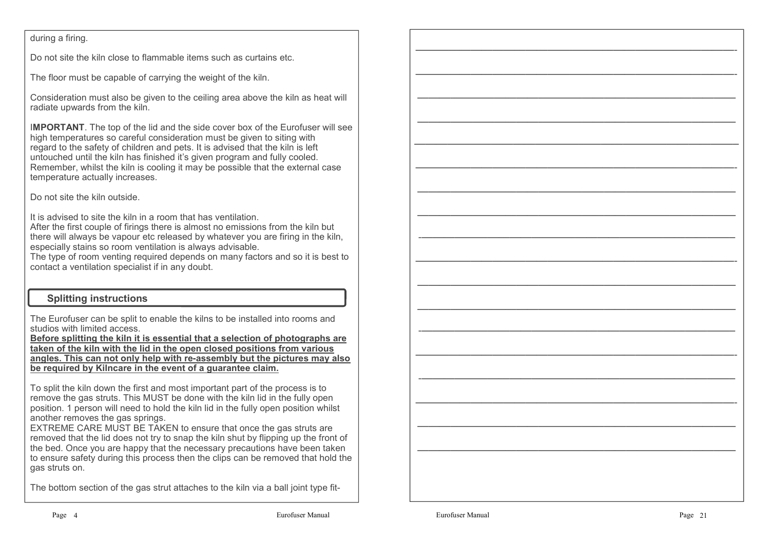### during a firing.

Do not site the kiln close to flammable items such as curtains etc.

The floor must be capable of carrying the weight of the kiln.

Consideration must also be given to the ceiling area above the kiln as heat will radiate upwards from the kiln.

I**MPORTANT**. The top of the lid and the side cover box of the Eurofuser will see high temperatures so careful consideration must be given to siting with regard to the safety of children and pets. It is advised that the kiln is left untouched until the kiln has finished it's given program and fully cooled. Remember, whilst the kiln is cooling it may be possible that the external case temperature actually increases.

Do not site the kiln outside.

It is advised to site the kiln in a room that has ventilation.

 After the first couple of firings there is almost no emissions from the kiln but there will always be vapour etc released by whatever you are firing in the kiln, especially stains so room ventilation is always advisable.

 The type of room venting required depends on many factors and so it is best to contact a ventilation specialist if in any doubt.

## **Splitting instructions**

The Eurofuser can be split to enable the kilns to be installed into rooms and studios with limited access.

 **Before splitting the kiln it is essential that a selection of photographs are taken of the kiln with the lid in the open closed positions from various angles. This can not only help with re-assembly but the pictures may also be required by Kilncare in the event of a guarantee claim.**

To split the kiln down the first and most important part of the process is to remove the gas struts. This MUST be done with the kiln lid in the fully open position. 1 person will need to hold the kiln lid in the fully open position whilst another removes the gas springs.

 EXTREME CARE MUST BE TAKEN to ensure that once the gas struts are removed that the lid does not try to snap the kiln shut by flipping up the front of the bed. Once you are happy that the necessary precautions have been taken to ensure safety during this process then the clips can be removed that hold the gas struts on.

The bottom section of the gas strut attaches to the kiln via a ball joint type fit-

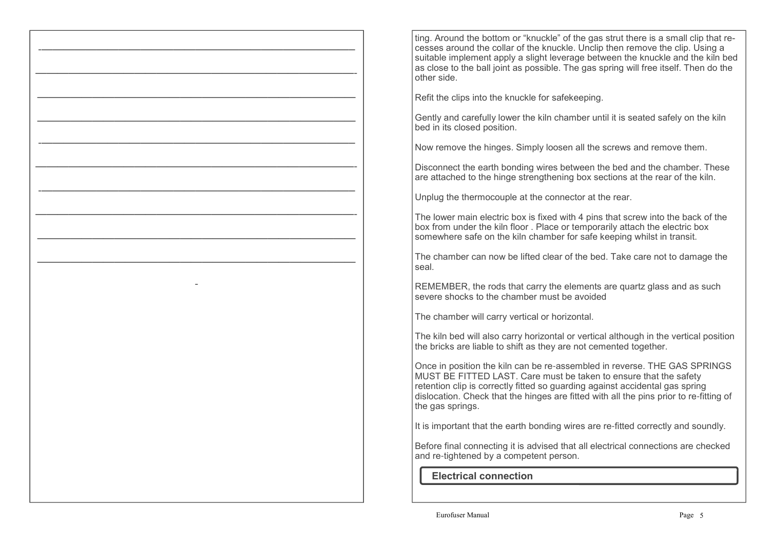ting. Around the bottom or "knuckle" of the gas strut there is a small clip that recesses around the collar of the knuckle. Unclip then remove the clip. Using a suitable implement apply a slight leverage between the knuckle and the kiln bed as close to the ball joint as possible. The gas spring will free itself. Then do the other side.

Refit the clips into the knuckle for safekeeping.

-defined by the contract of the contract of  $\mathcal{L} = \{ \mathcal{L} \mid \mathcal{L} \in \mathcal{L} \}$  , where  $\mathcal{L} = \{ \mathcal{L} \mid \mathcal{L} \in \mathcal{L} \}$ 

—————————————————————————————-

—————————————————————————————

 $\mathcal{L}=\{x\in\mathcal{L}^{\infty},\;y\in\mathcal{L}^{\infty}\}$  , where  $\mathcal{L}=\{x\in\mathcal{L}^{\infty}\}$ 

-denote the contract of  $\mathcal{L}$  -denote the contract of  $\mathcal{L}$  -denote the contract of  $\mathcal{L}$ 

—————————————————————————————-

-defined by the contract of the contract of  $\mathcal{L} = \{ \mathcal{L} \mid \mathcal{L} \in \mathcal{L} \}$  , where  $\mathcal{L} = \{ \mathcal{L} \mid \mathcal{L} \in \mathcal{L} \}$ 

—————————————————————————————-

—————————————————————————————

 $\mathcal{L}=\{x\in\mathcal{L}^{\infty},\;y\in\mathcal{L}^{\infty}\}$  , where  $\mathcal{L}=\{x\in\mathcal{L}^{\infty}\}$ 

-

Gently and carefully lower the kiln chamber until it is seated safely on the kiln bed in its closed position.

Now remove the hinges. Simply loosen all the screws and remove them.

Disconnect the earth bonding wires between the bed and the chamber. These are attached to the hinge strengthening box sections at the rear of the kiln.

Unplug the thermocouple at the connector at the rear.

The lower main electric box is fixed with 4 pins that screw into the back of the box from under the kiln floor . Place or temporarily attach the electric box somewhere safe on the kiln chamber for safe keeping whilst in transit.

The chamber can now be lifted clear of the bed. Take care not to damage the seal.

REMEMBER, the rods that carry the elements are quartz glass and as suchsevere shocks to the chamber must be avoided

The chamber will carry vertical or horizontal.

The kiln bed will also carry horizontal or vertical although in the vertical position the bricks are liable to shift as they are not cemented together.

Once in position the kiln can be re-assembled in reverse. THE GAS SPRINGS MUST BE FITTED LAST. Care must be taken to ensure that the safety retention clip is correctly fitted so guarding against accidental gas spring dislocation. Check that the hinges are fitted with all the pins prior to re-fitting of the gas springs.

It is important that the earth bonding wires are re-fitted correctly and soundly.

Before final connecting it is advised that all electrical connections are checked and re-tightened by a competent person.

 **Electrical connection**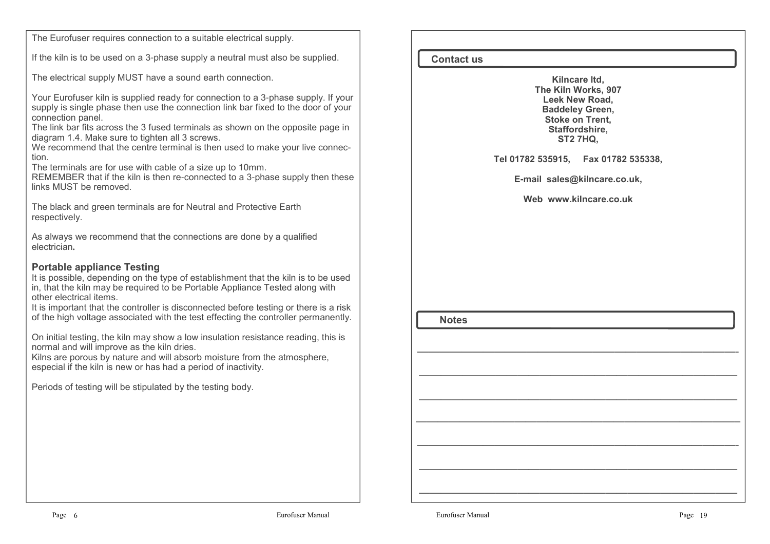The Eurofuser requires connection to a suitable electrical supply.

If the kiln is to be used on a 3-phase supply a neutral must also be supplied.

The electrical supply MUST have a sound earth connection.

Your Eurofuser kiln is supplied ready for connection to a 3-phase supply. If your supply is single phase then use the connection link bar fixed to the door of your connection panel.

 The link bar fits across the 3 fused terminals as shown on the opposite page in diagram 1.4. Make sure to tighten all 3 screws.

 We recommend that the centre terminal is then used to make your live connection.

The terminals are for use with cable of a size up to 10mm.

 REMEMBER that if the kiln is then re-connected to a 3-phase supply then these links MUST be removed.

The black and green terminals are for Neutral and Protective Earth respectively.

As always we recommend that the connections are done by a qualified electrician**.**

## **Portable appliance Testing**

 It is possible, depending on the type of establishment that the kiln is to be used in, that the kiln may be required to be Portable Appliance Tested along with other electrical items.

 It is important that the controller is disconnected before testing or there is a risk of the high voltage associated with the test effecting the controller permanently.

On initial testing, the kiln may show a low insulation resistance reading, this is normal and will improve as the kiln dries.

 Kilns are porous by nature and will absorb moisture from the atmosphere, especial if the kiln is new or has had a period of inactivity.

Periods of testing will be stipulated by the testing body.

**Contact us**

**Kilncare ltd, The Kiln Works, 907 Leek New Road, Baddeley Green, Stoke on Trent, Staffordshire, ST2 7HQ,**

#### **Tel 01782 535915, Fax 01782 535338,**

**E-mail sales@kilncare.co.uk,** 

**Web www.kilncare.co.uk**

—————————————————————————————-

 $\mathcal{L}=\{x\in\mathcal{L}^{\infty}\mid x\in\mathcal{L}^{\infty}\}$ 

—————————————————————————————

—————————————————————————————–

 $\mathcal{L}=\{x_1,\ldots,x_n\}$  , we can assume that  $\mathcal{L}=\{x_1,\ldots,x_n\}$  , we can assume that

 $\mathcal{L}=\{x\in\mathcal{L}^{\infty}\mid x\in\mathcal{L}^{\infty}\}$ 

—————————————————————————————

 **Notes**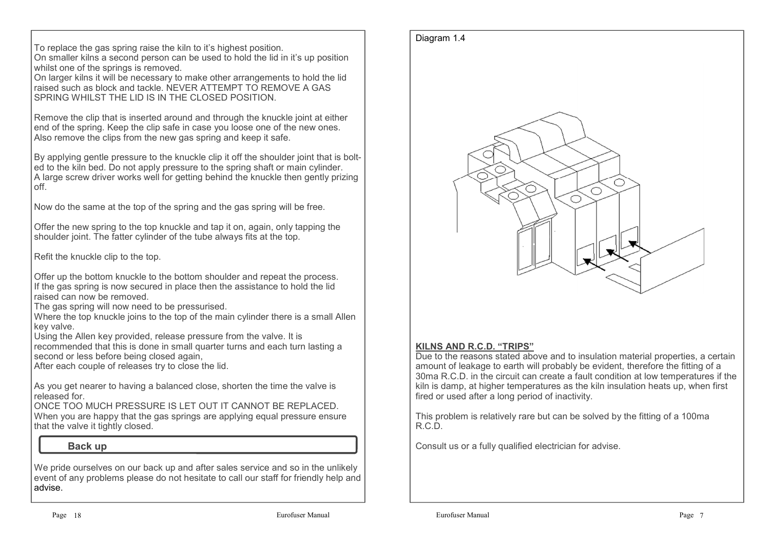To replace the gas spring raise the kiln to it's highest position.On smaller kilns a second person can be used to hold the lid in it's up position

whilst one of the springs is removed.

 On larger kilns it will be necessary to make other arrangements to hold the lid raised such as block and tackle. NEVER ATTEMPT TO REMOVE A GAS SPRING WHILST THE LID IS IN THE CLOSED POSITION.

Remove the clip that is inserted around and through the knuckle joint at either end of the spring. Keep the clip safe in case you loose one of the new ones. Also remove the clips from the new gas spring and keep it safe.

By applying gentle pressure to the knuckle clip it off the shoulder joint that is bolted to the kiln bed. Do not apply pressure to the spring shaft or main cylinder. A large screw driver works well for getting behind the knuckle then gently prizing off.

Now do the same at the top of the spring and the gas spring will be free.

Offer the new spring to the top knuckle and tap it on, again, only tapping the shoulder joint. The fatter cylinder of the tube always fits at the top.

Refit the knuckle clip to the top.

Offer up the bottom knuckle to the bottom shoulder and repeat the process. If the gas spring is now secured in place then the assistance to hold the lid raised can now be removed.

The gas spring will now need to be pressurised.

 Where the top knuckle joins to the top of the main cylinder there is a small Allen key valve.

Using the Allen key provided, release pressure from the valve. It is

 recommended that this is done in small quarter turns and each turn lasting a second or less before being closed again,

After each couple of releases try to close the lid.

As you get nearer to having a balanced close, shorten the time the valve is released for.

 ONCE TOO MUCH PRESSURE IS LET OUT IT CANNOT BE REPLACED. When you are happy that the gas springs are applying equal pressure ensure that the valve it tightly closed.

## **Back up**

We pride ourselves on our back up and after sales service and so in the unlikely event of any problems please do not hesitate to call our staff for friendly help and advise.



## **KILNS AND R.C.D. "TRIPS"**

 Due to the reasons stated above and to insulation material properties, a certain amount of leakage to earth will probably be evident, therefore the fitting of a 30ma R.C.D. in the circuit can create a fault condition at low temperatures if the kiln is damp, at higher temperatures as the kiln insulation heats up, when first fired or used after a long period of inactivity.

This problem is relatively rare but can be solved by the fitting of a 100ma R.C.D.

Consult us or a fully qualified electrician for advise.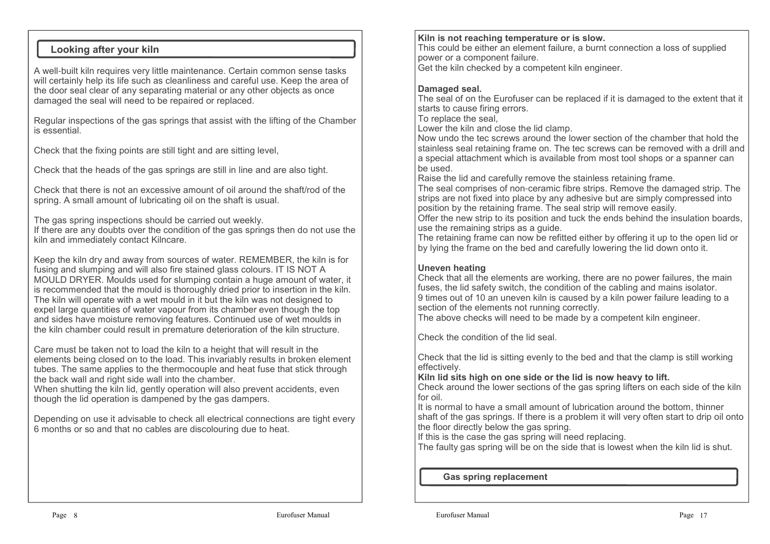## **Looking after your kiln**

A well-built kiln requires very little maintenance. Certain common sense tasks will certainly help its life such as cleanliness and careful use. Keep the area of the door seal clear of any separating material or any other objects as once damaged the seal will need to be repaired or replaced.

Regular inspections of the gas springs that assist with the lifting of the Chamber is essential.

Check that the fixing points are still tight and are sitting level,

Check that the heads of the gas springs are still in line and are also tight.

Check that there is not an excessive amount of oil around the shaft/rod of the spring. A small amount of lubricating oil on the shaft is usual.

The gas spring inspections should be carried out weekly.

 If there are any doubts over the condition of the gas springs then do not use the kiln and immediately contact Kilncare.

Keep the kiln dry and away from sources of water. REMEMBER, the kiln is for fusing and slumping and will also fire stained glass colours. IT IS NOT A MOULD DRYER. Moulds used for slumping contain a huge amount of water, it is recommended that the mould is thoroughly dried prior to insertion in the kiln. The kiln will operate with a wet mould in it but the kiln was not designed to expel large quantities of water vapour from its chamber even though the top and sides have moisture removing features. Continued use of wet moulds in the kiln chamber could result in premature deterioration of the kiln structure.

Care must be taken not to load the kiln to a height that will result in the elements being closed on to the load. This invariably results in broken element tubes. The same applies to the thermocouple and heat fuse that stick through the back wall and right side wall into the chamber.

 When shutting the kiln lid, gently operation will also prevent accidents, even though the lid operation is dampened by the gas dampers.

Depending on use it advisable to check all electrical connections are tight every 6 months or so and that no cables are discolouring due to heat.

### **Kiln is not reaching temperature or is slow.**

 This could be either an element failure, a burnt connection a loss of supplied power or a component failure.

Get the kiln checked by a competent kiln engineer.

### **Damaged seal.**

 The seal of on the Eurofuser can be replaced if it is damaged to the extent that it starts to cause firing errors.

To replace the seal,

Lower the kiln and close the lid clamp.

 Now undo the tec screws around the lower section of the chamber that hold the stainless seal retaining frame on. The tec screws can be removed with a drill and a special attachment which is available from most tool shops or a spanner can be used.

Raise the lid and carefully remove the stainless retaining frame.

 The seal comprises of non-ceramic fibre strips. Remove the damaged strip. Thestrips are not fixed into place by any adhesive but are simply compressed into position by the retaining frame. The seal strip will remove easily.

 Offer the new strip to its position and tuck the ends behind the insulation boards, use the remaining strips as a guide.

 The retaining frame can now be refitted either by offering it up to the open lid or by lying the frame on the bed and carefully lowering the lid down onto it.

## **Uneven heating**

 Check that all the elements are working, there are no power failures, the main fuses, the lid safety switch, the condition of the cabling and mains isolator. 9 times out of 10 an uneven kiln is caused by a kiln power failure leading to a section of the elements not running correctly.

The above checks will need to be made by a competent kiln engineer.

Check the condition of the lid seal.

Check that the lid is sitting evenly to the bed and that the clamp is still working effectively.

**Kiln lid sits high on one side or the lid is now heavy to lift.**

 Check around the lower sections of the gas spring lifters on each side of the kiln for oil.

 It is normal to have a small amount of lubrication around the bottom, thinner shaft of the gas springs. If there is a problem it will very often start to drip oil onto the floor directly below the gas spring.

If this is the case the gas spring will need replacing.

The faulty gas spring will be on the side that is lowest when the kiln lid is shut.

### **Gas spring replacement**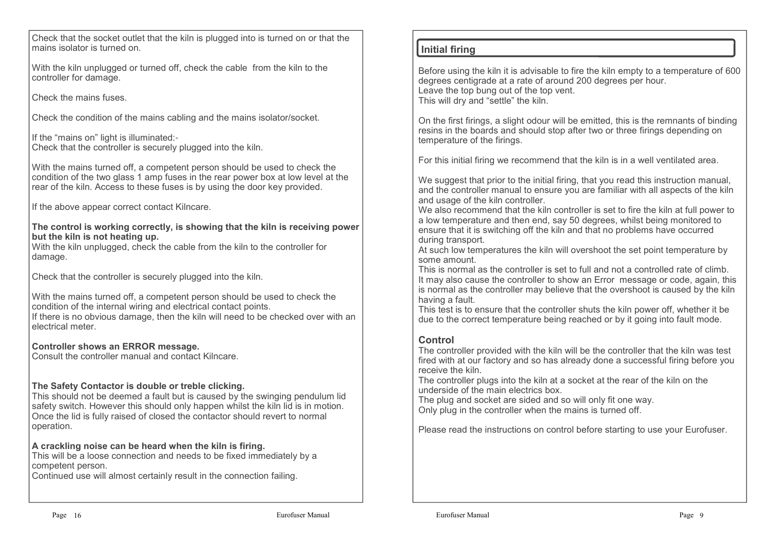Check that the socket outlet that the kiln is plugged into is turned on or that the mains isolator is turned on.

With the kiln unplugged or turned off, check the cable from the kiln to the controller for damage.

Check the mains fuses.

Check the condition of the mains cabling and the mains isolator/socket.

If the "mains on" light is illuminated:- Check that the controller is securely plugged into the kiln.

With the mains turned off, a competent person should be used to check the condition of the two glass 1 amp fuses in the rear power box at low level at the rear of the kiln. Access to these fuses is by using the door key provided.

If the above appear correct contact Kilncare.

#### **The control is working correctly, is showing that the kiln is receiving power but the kiln is not heating up.**

 With the kiln unplugged, check the cable from the kiln to the controller for damage.

Check that the controller is securely plugged into the kiln.

With the mains turned off, a competent person should be used to check the condition of the internal wiring and electrical contact points. If there is no obvious damage, then the kiln will need to be checked over with an electrical meter.

### **Controller shows an ERROR message.**

Consult the controller manual and contact Kilncare.

### **The Safety Contactor is double or treble clicking.**

 This should not be deemed a fault but is caused by the swinging pendulum lid safety switch. However this should only happen whilst the kiln lid is in motion. Once the lid is fully raised of closed the contactor should revert to normal operation.

### **A crackling noise can be heard when the kiln is firing.**

 This will be a loose connection and needs to be fixed immediately by a competent person.

Continued use will almost certainly result in the connection failing.

### **Initial firing**

Before using the kiln it is advisable to fire the kiln empty to a temperature of 600 degrees centigrade at a rate of around 200 degrees per hour. Leave the top bung out of the top vent.This will dry and "settle" the kiln.

On the first firings, a slight odour will be emitted, this is the remnants of binding resins in the boards and should stop after two or three firings depending on temperature of the firings.

For this initial firing we recommend that the kiln is in a well ventilated area.

We suggest that prior to the initial firing, that you read this instruction manual, and the controller manual to ensure you are familiar with all aspects of the kiln and usage of the kiln controller.

 We also recommend that the kiln controller is set to fire the kiln at full power to a low temperature and then end, say 50 degrees, whilst being monitored to ensure that it is switching off the kiln and that no problems have occurred during transport.

 At such low temperatures the kiln will overshoot the set point temperature by some amount.

 This is normal as the controller is set to full and not a controlled rate of climb. It may also cause the controller to show an Error message or code, again, this is normal as the controller may believe that the overshoot is caused by the kiln having a fault.

 This test is to ensure that the controller shuts the kiln power off, whether it be due to the correct temperature being reached or by it going into fault mode.

### **Control**

 The controller provided with the kiln will be the controller that the kiln was test fired with at our factory and so has already done a successful firing before you receive the kiln.

 The controller plugs into the kiln at a socket at the rear of the kiln on the underside of the main electrics box.

 The plug and socket are sided and so will only fit one way. Only plug in the controller when the mains is turned off.

Please read the instructions on control before starting to use your Eurofuser.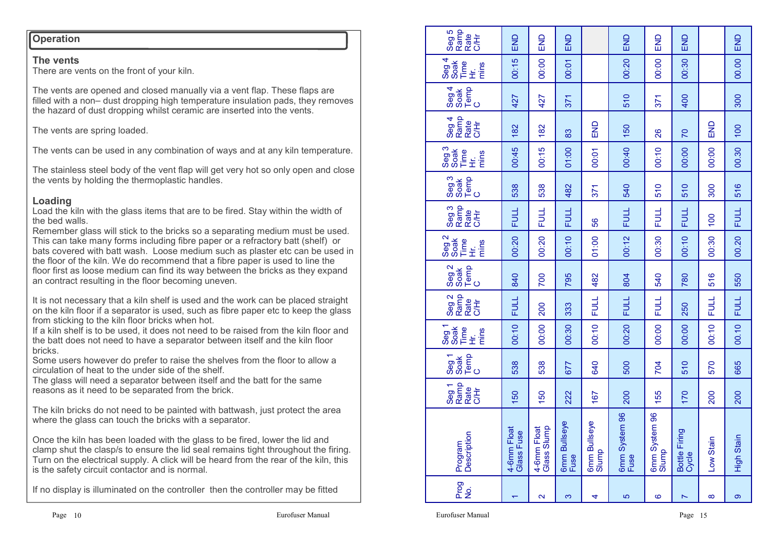### **Operation**

### **The vents**

There are vents on the front of your kiln.

The vents are opened and closed manually via a vent flap. These flaps are filled with a non– dust dropping high temperature insulation pads, they removes the hazard of dust dropping whilst ceramic are inserted into the vents.

The vents are spring loaded.

The vents can be used in any combination of ways and at any kiln temperature.

The stainless steel body of the vent flap will get very hot so only open and close the vents by holding the thermoplastic handles.

# **Loading**

 Load the kiln with the glass items that are to be fired. Stay within the width of the bed walls.

 Remember glass will stick to the bricks so a separating medium must be used. This can take many forms including fibre paper or a refractory batt (shelf) or bats covered with batt wash. Loose medium such as plaster etc can be used in the floor of the kiln. We do recommend that a fibre paper is used to line the floor first as loose medium can find its way between the bricks as they expand an contract resulting in the floor becoming uneven.

It is not necessary that a kiln shelf is used and the work can be placed straight on the kiln floor if a separator is used, such as fibre paper etc to keep the glass from sticking to the kiln floor bricks when hot.

 If a kiln shelf is to be used, it does not need to be raised from the kiln floor and the batt does not need to have a separator between itself and the kiln floor bricks.

 Some users however do prefer to raise the shelves from the floor to allow a circulation of heat to the under side of the shelf.

 The glass will need a separator between itself and the batt for the same reasons as it need to be separated from the brick.

The kiln bricks do not need to be painted with battwash, just protect the area where the glass can touch the bricks with a separator.

Once the kiln has been loaded with the glass to be fired, lower the lid and clamp shut the clasp/s to ensure the lid seal remains tight throughout the firing. Turn on the electrical supply. A click will be heard from the rear of the kiln, this is the safety circuit contactor and is normal.

If no display is illuminated on the controller then the controller may be fitted

| Seg <sub>5</sub><br>Ramp<br>Rate<br>C/H                                                  | END                       | END                        | END                         |                       | END                   | END                    | END                    |             | END         |
|------------------------------------------------------------------------------------------|---------------------------|----------------------------|-----------------------------|-----------------------|-----------------------|------------------------|------------------------|-------------|-------------|
| Seg 4<br>Soak<br>Fir.<br>Trins<br>Trins                                                  | 00:15                     | 00:00                      | 00:01                       |                       | 00:20                 | 00:00                  | 00:30                  |             | 00.00       |
| Temp<br>C<br>Seg 4<br>Soak                                                               | 427                       | 427                        | 371                         |                       | 510                   | 371                    | 400                    |             | 300         |
| Seg 4<br>Ramp<br>C/Hr<br>C/Hr                                                            | 182                       | 182                        | 83                          | <b>SHE</b>            | 150                   | 26                     | 70                     | END         | 100         |
| Seg <sub>3</sub><br>Soak<br>Time<br>Hi.<br>mins                                          | 00:45                     | 00:15                      | 01:00                       | 00:01                 | 00:40                 | 00:10                  | 00:00                  | 00:00       | 00.30       |
| $\begin{array}{c}\n \text{Seg 3} \\ \text{Soak} \\ \text{Iem} \\ \text{O}\n \end{array}$ | 538                       | 538                        | 482                         | 371                   | 540                   | 510                    | 510                    | 300         | 516         |
| Seg 3<br>Ramp<br>C/Hr                                                                    | <b>FULL</b>               | <b>FULL</b>                | <b>FULL</b>                 | 56                    | <b>FULL</b>           | <b>FULL</b>            | <b>FULL</b>            | 100         | <b>FULL</b> |
| Seg <sub>2</sub><br>Time<br>Hi<br>mins                                                   | 00:20                     | 00:20                      | 00:10                       | 01:00                 | 00:12                 | 00:30                  | 00:10                  | 00:30       | 00.20       |
| Seg 2<br>Soak<br>Temp<br>C                                                               | 840                       | 700                        | 795                         | 482                   | 804                   | 540                    | 780                    | 516         | 550         |
| Seg 2<br>Ramp<br>C/Hr                                                                    | <b>FULL</b>               | 200                        | 333                         | <b>FULL</b>           | <b>FULL</b>           | <b>FULL</b>            | 250                    | <b>FULL</b> | <b>FULL</b> |
| Seg <sub>1</sub><br>Soak<br>Time<br>mins<br>로<br>도                                       | 00:10                     | 00:00                      | 00:30                       | 00:10                 | 00:20                 | 00:00                  | 00:00                  | 00:10       | 00.10       |
| Seg1<br>Soak<br>Pemp<br>C                                                                | 538                       | 538                        | 677                         | 640                   | 500                   | 704                    | 510                    | 570         | 665         |
| Seg 1<br>Ramp<br>C/H<br>C/H                                                              | 150                       | 150                        | 222                         | 167                   | 200                   | 155                    | 170                    | 200         | 200         |
| Program<br>Description                                                                   | 4-6mm Float<br>Glass Fuse | 4-6mm Float<br>Glass Slump | <b>6mm Bullseye</b><br>Fuse | 6mm Bullseye<br>Slump | 6mm System 96<br>Fuse | 6mm System 96<br>Slump | Bottle Firing<br>Cycle | Low Stain   | High Stain  |
| Prog<br>29                                                                               |                           | $\overline{\mathbf{c}}$    | S                           | 4                     | 5                     | ဖ                      | N                      | $\infty$    | တ           |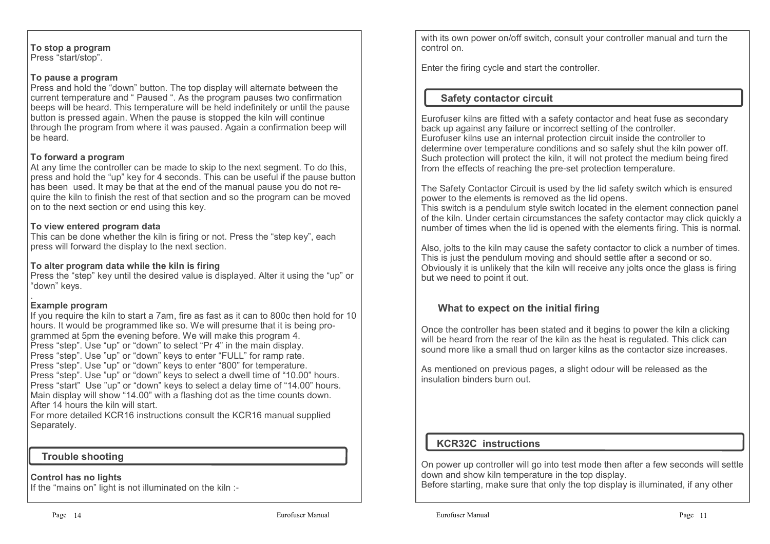**To stop a program**Press "start/stop".

#### **To pause a program**

 Press and hold the "down" button. The top display will alternate between the current temperature and " Paused ". As the program pauses two confirmation beeps will be heard. This temperature will be held indefinitely or until the pause button is pressed again. When the pause is stopped the kiln will continue through the program from where it was paused. Again a confirmation beep will be heard.

### **To forward a program**

 At any time the controller can be made to skip to the next segment. To do this, press and hold the "up" key for 4 seconds. This can be useful if the pause button has been used. It may be that at the end of the manual pause you do not require the kiln to finish the rest of that section and so the program can be moved on to the next section or end using this key.

#### **To view entered program data**

 This can be done whether the kiln is firing or not. Press the "step key", each press will forward the display to the next section.

#### **To alter program data while the kiln is firing**

 Press the "step" key until the desired value is displayed. Alter it using the "up" or "down" keys.

### **Example program**

 If you require the kiln to start a 7am, fire as fast as it can to 800c then hold for 10 hours. It would be programmed like so. We will presume that it is being programmed at 5pm the evening before. We will make this program 4. Press "step". Use "up" or "down" to select "Pr 4" in the main display. Press "step". Use "up" or "down" keys to enter "FULL" for ramp rate. Press "step". Use "up" or "down" keys to enter "800" for temperature. Press "step". Use "up" or "down" keys to select a dwell time of "10.00" hours. Press "start" Use "up" or "down" keys to select a delay time of "14.00" hours.Main display will show "14.00" with a flashing dot as the time counts down. After 14 hours the kiln will start.

 For more detailed KCR16 instructions consult the KCR16 manual supplied Separately.

### **Trouble shooting**

#### **Control has no lights**

If the "mains on" light is not illuminated on the kiln :-

with its own power on/off switch, consult your controller manual and turn the control on.

Enter the firing cycle and start the controller.

# **Safety contactor circuit**

Eurofuser kilns are fitted with a safety contactor and heat fuse as secondary back up against any failure or incorrect setting of the controller. Eurofuser kilns use an internal protection circuit inside the controller to determine over temperature conditions and so safely shut the kiln power off. Such protection will protect the kiln, it will not protect the medium being fired from the effects of reaching the pre-set protection temperature.

The Safety Contactor Circuit is used by the lid safety switch which is ensured power to the elements is removed as the lid opens.

 This switch is a pendulum style switch located in the element connection panel of the kiln. Under certain circumstances the safety contactor may click quickly a number of times when the lid is opened with the elements firing. This is normal.

Also, jolts to the kiln may cause the safety contactor to click a number of times. This is just the pendulum moving and should settle after a second or so. Obviously it is unlikely that the kiln will receive any jolts once the glass is firing but we need to point it out.

# **What to expect on the initial firing**

Once the controller has been stated and it begins to power the kiln a clicking will be heard from the rear of the kiln as the heat is regulated. This click can sound more like a small thud on larger kilns as the contactor size increases.

As mentioned on previous pages, a slight odour will be released as the insulation binders burn out.

# **KCR32C instructions**

On power up controller will go into test mode then after a few seconds will settle down and show kiln temperature in the top display.Before starting, make sure that only the top display is illuminated, if any other